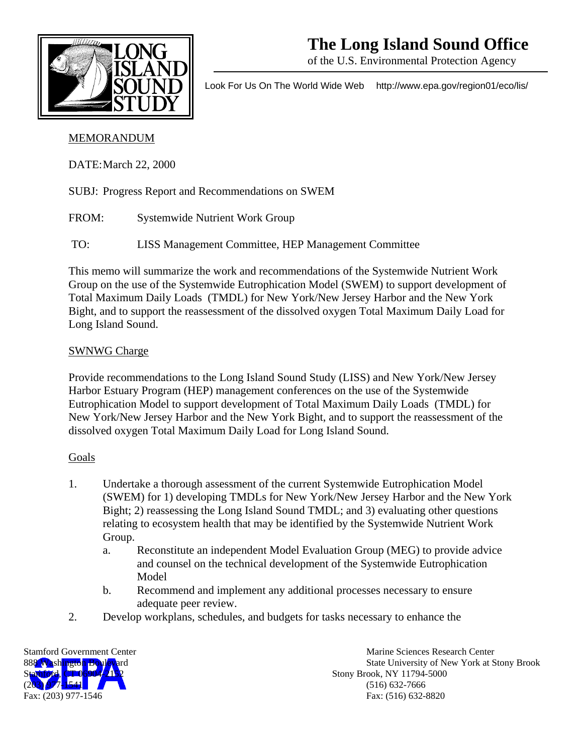

# **The Long Island Sound Office**

of the U.S. Environmental Protection Agency

Look For Us On The World Wide Web http://www.epa.gov/region01/eco/lis/

## MEMORANDUM

DATE: March 22, 2000

- SUBJ: Progress Report and Recommendations on SWEM
- FROM: Systemwide Nutrient Work Group
- TO: LISS Management Committee, HEP Management Committee

This memo will summarize the work and recommendations of the Systemwide Nutrient Work Group on the use of the Systemwide Eutrophication Model (SWEM) to support development of Total Maximum Daily Loads (TMDL) for New York/New Jersey Harbor and the New York Bight, and to support the reassessment of the dissolved oxygen Total Maximum Daily Load for Long Island Sound.

## SWNWG Charge

Provide recommendations to the Long Island Sound Study (LISS) and New York/New Jersey Harbor Estuary Program (HEP) management conferences on the use of the Systemwide Eutrophication Model to support development of Total Maximum Daily Loads (TMDL) for New York/New Jersey Harbor and the New York Bight, and to support the reassessment of the dissolved oxygen Total Maximum Daily Load for Long Island Sound.

## **Goals**

- 1. Undertake a thorough assessment of the current Systemwide Eutrophication Model (SWEM) for 1) developing TMDLs for New York/New Jersey Harbor and the New York Bight; 2) reassessing the Long Island Sound TMDL; and 3) evaluating other questions relating to ecosystem health that may be identified by the Systemwide Nutrient Work Group.
	- a. Reconstitute an independent Model Evaluation Group (MEG) to provide advice and counsel on the technical development of the Systemwide Eutrophication Model
	- b. Recommend and implement any additional processes necessary to ensure adequate peer review.
- 2. Develop workplans, schedules, and budgets for tasks necessary to enhance the



Stamford Government Center **Marine Sciences** Research Center Marine Sciences Research Center 888 Washington Boulevard State University of New York at Stony Brook Stony Brook, NY 11794-5000  $(516)$  632-7666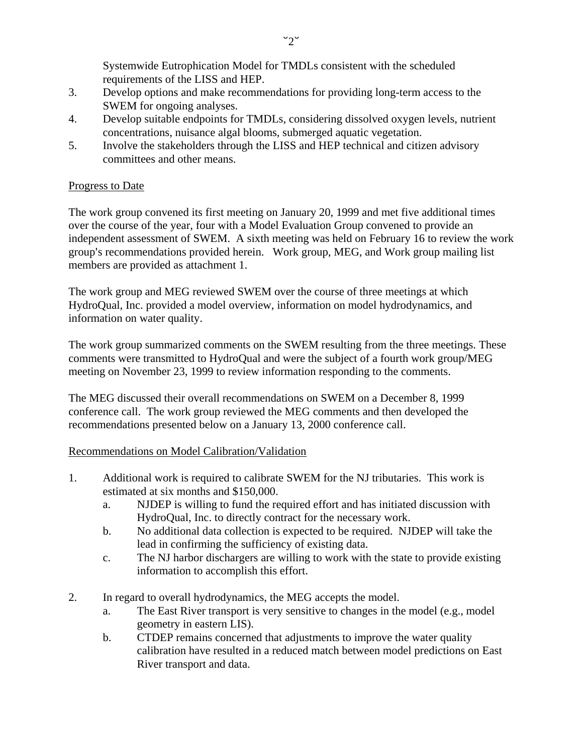Systemwide Eutrophication Model for TMDLs consistent with the scheduled requirements of the LISS and HEP.

- 3. Develop options and make recommendations for providing long-term access to the SWEM for ongoing analyses.
- 4. Develop suitable endpoints for TMDLs, considering dissolved oxygen levels, nutrient concentrations, nuisance algal blooms, submerged aquatic vegetation.
- 5. Involve the stakeholders through the LISS and HEP technical and citizen advisory committees and other means.

#### Progress to Date

The work group convened its first meeting on January 20, 1999 and met five additional times over the course of the year, four with a Model Evaluation Group convened to provide an independent assessment of SWEM. A sixth meeting was held on February 16 to review the work group's recommendations provided herein. Work group, MEG, and Work group mailing list members are provided as attachment 1.

The work group and MEG reviewed SWEM over the course of three meetings at which HydroQual, Inc. provided a model overview, information on model hydrodynamics, and information on water quality.

The work group summarized comments on the SWEM resulting from the three meetings. These comments were transmitted to HydroQual and were the subject of a fourth work group/MEG meeting on November 23, 1999 to review information responding to the comments.

The MEG discussed their overall recommendations on SWEM on a December 8, 1999 conference call. The work group reviewed the MEG comments and then developed the recommendations presented below on a January 13, 2000 conference call.

#### Recommendations on Model Calibration/Validation

- 1. Additional work is required to calibrate SWEM for the NJ tributaries. This work is estimated at six months and \$150,000.
	- a. NJDEP is willing to fund the required effort and has initiated discussion with HydroQual, Inc. to directly contract for the necessary work.
	- b. No additional data collection is expected to be required. NJDEP will take the lead in confirming the sufficiency of existing data.
	- c. The NJ harbor dischargers are willing to work with the state to provide existing information to accomplish this effort.
- 2. In regard to overall hydrodynamics, the MEG accepts the model.
	- a. The East River transport is very sensitive to changes in the model (e.g., model geometry in eastern LIS).
	- b. CTDEP remains concerned that adjustments to improve the water quality calibration have resulted in a reduced match between model predictions on East River transport and data.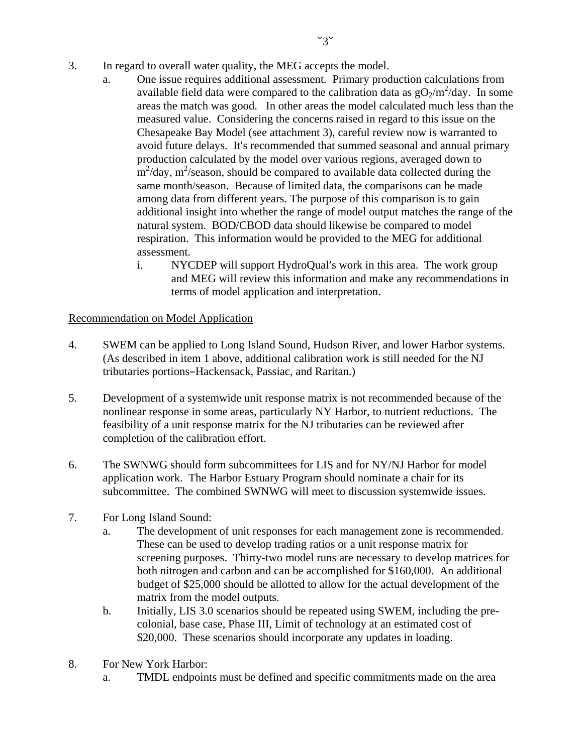- 3. In regard to overall water quality, the MEG accepts the model.
	- a. One issue requires additional assessment. Primary production calculations from available field data were compared to the calibration data as  $gO_2/m^2$ /day. In some areas the match was good. In other areas the model calculated much less than the measured value. Considering the concerns raised in regard to this issue on the Chesapeake Bay Model (see attachment 3), careful review now is warranted to avoid future delays. It's recommended that summed seasonal and annual primary production calculated by the model over various regions, averaged down to  $\rm m^2$ /day,  $\rm m^2$ /season, should be compared to available data collected during the same month/season. Because of limited data, the comparisons can be made among data from different years. The purpose of this comparison is to gain additional insight into whether the range of model output matches the range of the natural system. BOD/CBOD data should likewise be compared to model respiration. This information would be provided to the MEG for additional assessment.
		- i. NYCDEP will support HydroQual's work in this area. The work group and MEG will review this information and make any recommendations in terms of model application and interpretation.

### Recommendation on Model Application

- 4. SWEM can be applied to Long Island Sound, Hudson River, and lower Harbor systems. (As described in item 1 above, additional calibration work is still needed for the NJ tributaries portions-Hackensack, Passiac, and Raritan.)
- 5. Development of a systemwide unit response matrix is not recommended because of the nonlinear response in some areas, particularly NY Harbor, to nutrient reductions. The feasibility of a unit response matrix for the NJ tributaries can be reviewed after completion of the calibration effort.
- 6. The SWNWG should form subcommittees for LIS and for NY/NJ Harbor for model application work. The Harbor Estuary Program should nominate a chair for its subcommittee. The combined SWNWG will meet to discussion systemwide issues.
- 7. For Long Island Sound:
	- a. The development of unit responses for each management zone is recommended. These can be used to develop trading ratios or a unit response matrix for screening purposes. Thirty-two model runs are necessary to develop matrices for both nitrogen and carbon and can be accomplished for \$160,000. An additional budget of \$25,000 should be allotted to allow for the actual development of the matrix from the model outputs.
	- b. Initially, LIS 3.0 scenarios should be repeated using SWEM, including the precolonial, base case, Phase III, Limit of technology at an estimated cost of \$20,000. These scenarios should incorporate any updates in loading.
- 8. For New York Harbor:
	- a. TMDL endpoints must be defined and specific commitments made on the area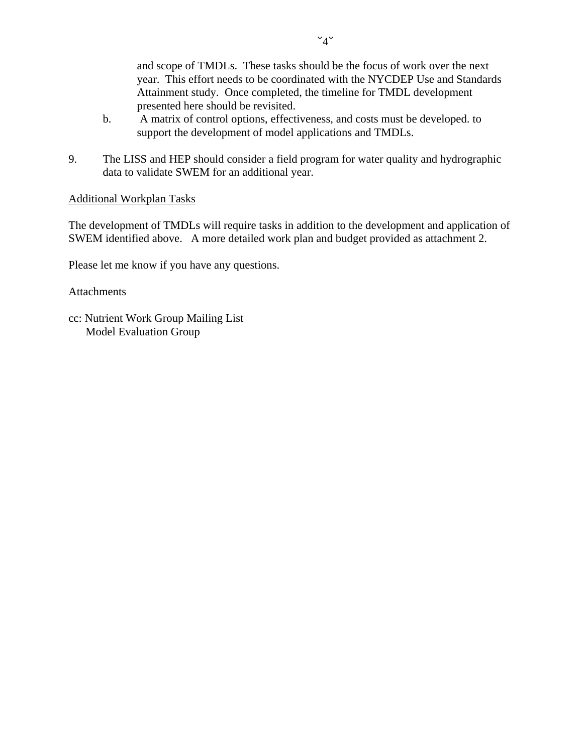and scope of TMDLs. These tasks should be the focus of work over the next year. This effort needs to be coordinated with the NYCDEP Use and Standards Attainment study. Once completed, the timeline for TMDL development presented here should be revisited.

- b. A matrix of control options, effectiveness, and costs must be developed. to support the development of model applications and TMDLs.
- 9. The LISS and HEP should consider a field program for water quality and hydrographic data to validate SWEM for an additional year.

#### Additional Workplan Tasks

The development of TMDLs will require tasks in addition to the development and application of SWEM identified above. A more detailed work plan and budget provided as attachment 2.

Please let me know if you have any questions.

Attachments

cc: Nutrient Work Group Mailing List Model Evaluation Group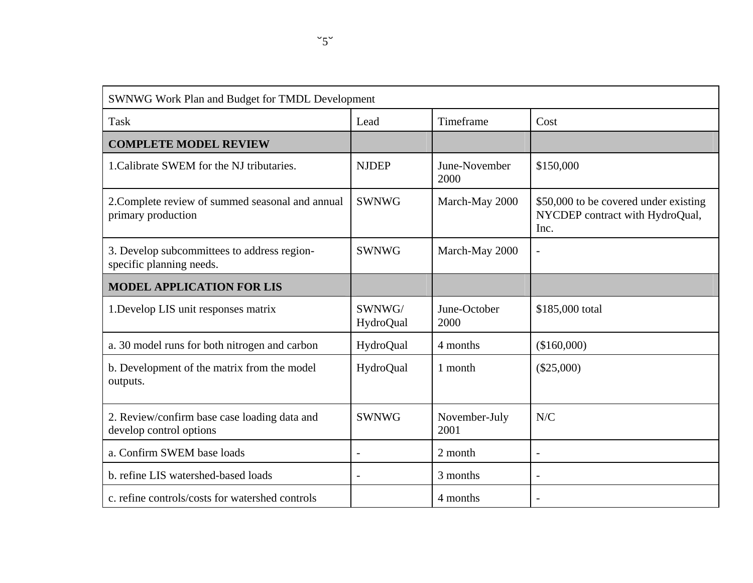| SWNWG Work Plan and Budget for TMDL Development                         |                     |                       |                                                                                  |  |  |
|-------------------------------------------------------------------------|---------------------|-----------------------|----------------------------------------------------------------------------------|--|--|
| <b>Task</b>                                                             | Lead                | Timeframe             | Cost                                                                             |  |  |
| <b>COMPLETE MODEL REVIEW</b>                                            |                     |                       |                                                                                  |  |  |
| 1. Calibrate SWEM for the NJ tributaries.                               | <b>NJDEP</b>        | June-November<br>2000 | \$150,000                                                                        |  |  |
| 2. Complete review of summed seasonal and annual<br>primary production  | <b>SWNWG</b>        | March-May 2000        | \$50,000 to be covered under existing<br>NYCDEP contract with HydroQual,<br>Inc. |  |  |
| 3. Develop subcommittees to address region-<br>specific planning needs. | <b>SWNWG</b>        | March-May 2000        | $\overline{\phantom{0}}$                                                         |  |  |
| <b>MODEL APPLICATION FOR LIS</b>                                        |                     |                       |                                                                                  |  |  |
| 1. Develop LIS unit responses matrix                                    | SWNWG/<br>HydroQual | June-October<br>2000  | \$185,000 total                                                                  |  |  |
| a. 30 model runs for both nitrogen and carbon                           | HydroQual           | 4 months              | (\$160,000)                                                                      |  |  |
| b. Development of the matrix from the model<br>outputs.                 | HydroQual           | 1 month               | $(\$25,000)$                                                                     |  |  |
| 2. Review/confirm base case loading data and<br>develop control options | <b>SWNWG</b>        | November-July<br>2001 | N/C                                                                              |  |  |
| a. Confirm SWEM base loads                                              |                     | 2 month               |                                                                                  |  |  |
| b. refine LIS watershed-based loads                                     |                     | 3 months              |                                                                                  |  |  |
| c. refine controls/costs for watershed controls                         |                     | 4 months              | $\overline{\phantom{a}}$                                                         |  |  |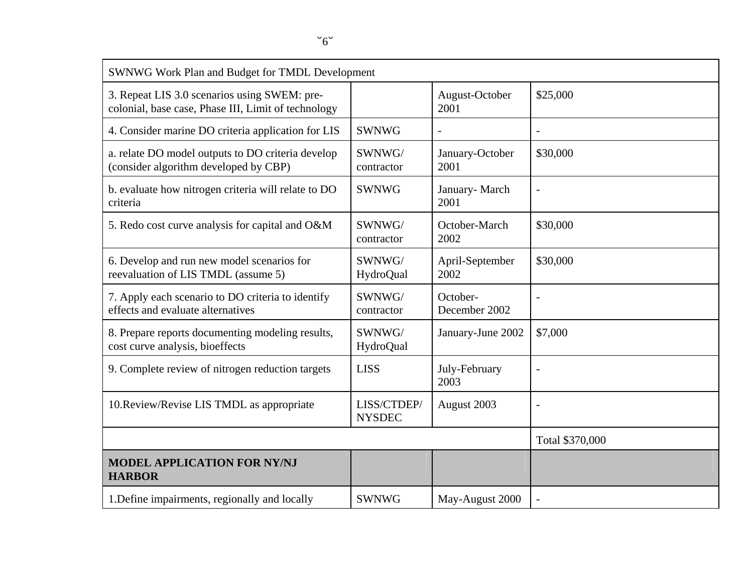| SWNWG Work Plan and Budget for TMDL Development                                                     |                              |                           |                          |  |  |
|-----------------------------------------------------------------------------------------------------|------------------------------|---------------------------|--------------------------|--|--|
| 3. Repeat LIS 3.0 scenarios using SWEM: pre-<br>colonial, base case, Phase III, Limit of technology |                              | August-October<br>2001    | \$25,000                 |  |  |
| 4. Consider marine DO criteria application for LIS                                                  | <b>SWNWG</b>                 | $\overline{\phantom{a}}$  |                          |  |  |
| a. relate DO model outputs to DO criteria develop<br>(consider algorithm developed by CBP)          | SWNWG/<br>contractor         | January-October<br>2001   | \$30,000                 |  |  |
| b. evaluate how nitrogen criteria will relate to DO<br>criteria                                     | <b>SWNWG</b>                 | January-March<br>2001     |                          |  |  |
| 5. Redo cost curve analysis for capital and O&M                                                     | SWNWG/<br>contractor         | October-March<br>2002     | \$30,000                 |  |  |
| 6. Develop and run new model scenarios for<br>reevaluation of LIS TMDL (assume 5)                   | SWNWG/<br>HydroQual          | April-September<br>2002   | \$30,000                 |  |  |
| 7. Apply each scenario to DO criteria to identify<br>effects and evaluate alternatives              | SWNWG/<br>contractor         | October-<br>December 2002 |                          |  |  |
| 8. Prepare reports documenting modeling results,<br>cost curve analysis, bioeffects                 | SWNWG/<br>HydroQual          | January-June 2002         | \$7,000                  |  |  |
| 9. Complete review of nitrogen reduction targets                                                    | <b>LISS</b>                  | July-February<br>2003     | $\overline{\phantom{a}}$ |  |  |
| 10. Review/Revise LIS TMDL as appropriate                                                           | LISS/CTDEP/<br><b>NYSDEC</b> | August 2003               | Ĭ.                       |  |  |
|                                                                                                     |                              |                           | Total \$370,000          |  |  |
| <b>MODEL APPLICATION FOR NY/NJ</b><br><b>HARBOR</b>                                                 |                              |                           |                          |  |  |
| 1. Define impairments, regionally and locally                                                       | <b>SWNWG</b>                 | May-August 2000           |                          |  |  |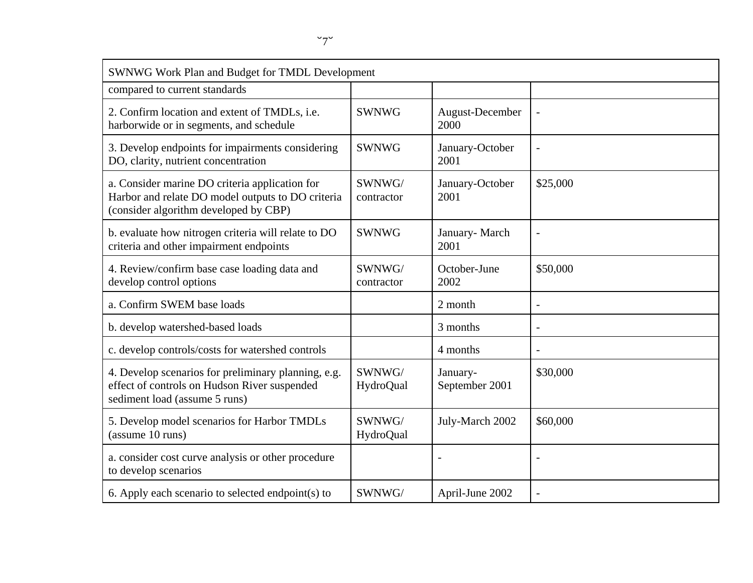| SWNWG Work Plan and Budget for TMDL Development                                                                                              |                      |                            |                          |  |  |
|----------------------------------------------------------------------------------------------------------------------------------------------|----------------------|----------------------------|--------------------------|--|--|
| compared to current standards                                                                                                                |                      |                            |                          |  |  |
| 2. Confirm location and extent of TMDLs, i.e.<br>harborwide or in segments, and schedule                                                     | <b>SWNWG</b>         | August-December<br>2000    |                          |  |  |
| 3. Develop endpoints for impairments considering<br>DO, clarity, nutrient concentration                                                      | <b>SWNWG</b>         | January-October<br>2001    | $\overline{\phantom{0}}$ |  |  |
| a. Consider marine DO criteria application for<br>Harbor and relate DO model outputs to DO criteria<br>(consider algorithm developed by CBP) | SWNWG/<br>contractor | January-October<br>2001    | \$25,000                 |  |  |
| b. evaluate how nitrogen criteria will relate to DO<br>criteria and other impairment endpoints                                               | <b>SWNWG</b>         | January-March<br>2001      | $\overline{\phantom{a}}$ |  |  |
| 4. Review/confirm base case loading data and<br>develop control options                                                                      | SWNWG/<br>contractor | October-June<br>2002       | \$50,000                 |  |  |
| a. Confirm SWEM base loads                                                                                                                   |                      | 2 month                    | $\overline{\phantom{0}}$ |  |  |
| b. develop watershed-based loads                                                                                                             |                      | 3 months                   | $\overline{\phantom{a}}$ |  |  |
| c. develop controls/costs for watershed controls                                                                                             |                      | 4 months                   |                          |  |  |
| 4. Develop scenarios for preliminary planning, e.g.<br>effect of controls on Hudson River suspended<br>sediment load (assume 5 runs)         | SWNWG/<br>HydroQual  | January-<br>September 2001 | \$30,000                 |  |  |
| 5. Develop model scenarios for Harbor TMDLs<br>(assume 10 runs)                                                                              | SWNWG/<br>HydroQual  | July-March 2002            | \$60,000                 |  |  |
| a. consider cost curve analysis or other procedure<br>to develop scenarios                                                                   |                      |                            |                          |  |  |
| 6. Apply each scenario to selected endpoint(s) to                                                                                            | SWNWG/               | April-June 2002            |                          |  |  |